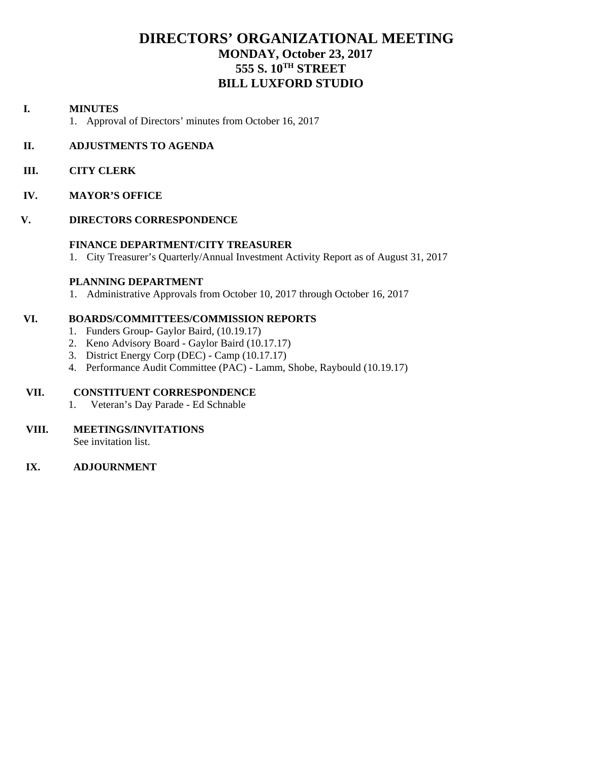# **DIRECTORS' ORGANIZATIONAL MEETING MONDAY, October 23, 2017 555 S. 10TH STREET BILL LUXFORD STUDIO**

# **I. MINUTES**

1. Approval of Directors' minutes from October 16, 2017

# **II. ADJUSTMENTS TO AGENDA**

- **III. CITY CLERK**
- **IV. MAYOR'S OFFICE**

### **V. DIRECTORS CORRESPONDENCE**

### **FINANCE DEPARTMENT/CITY TREASURER**

1. City Treasurer's Quarterly/Annual Investment Activity Report as of August 31, 2017

## **PLANNING DEPARTMENT**

1. Administrative Approvals from October 10, 2017 through October 16, 2017

# **VI. BOARDS/COMMITTEES/COMMISSION REPORTS**

- 1. Funders GroupGaylor Baird, (10.19.17)
- 2. Keno Advisory Board Gaylor Baird (10.17.17)
- 3. District Energy Corp (DEC) Camp (10.17.17)
- 4. Performance Audit Committee (PAC) Lamm, Shobe, Raybould (10.19.17)

# **VII. CONSTITUENT CORRESPONDENCE**

1. Veteran's Day Parade - Ed Schnable

# **VIII. MEETINGS/INVITATIONS**

See invitation list.

### **IX. ADJOURNMENT**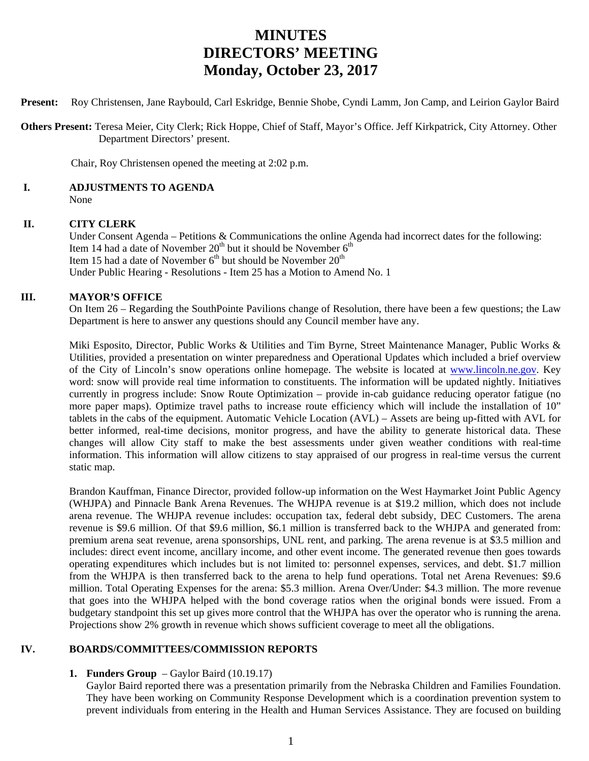# **MINUTES DIRECTORS' MEETING Monday, October 23, 2017**

**Present:** Roy Christensen, Jane Raybould, Carl Eskridge, Bennie Shobe, Cyndi Lamm, Jon Camp, and Leirion Gaylor Baird

 **Others Present:** Teresa Meier, City Clerk; Rick Hoppe, Chief of Staff, Mayor's Office. Jeff Kirkpatrick, City Attorney. Other Department Directors' present.

Chair, Roy Christensen opened the meeting at 2:02 p.m.

# **I. ADJUSTMENTS TO AGENDA**

None

### **II. CITY CLERK**

Under Consent Agenda – Petitions & Communications the online Agenda had incorrect dates for the following: Item 14 had a date of November  $20<sup>th</sup>$  but it should be November  $6<sup>th</sup>$ Item 15 had a date of November  $6<sup>th</sup>$  but should be November  $20<sup>th</sup>$ Under Public Hearing - Resolutions - Item 25 has a Motion to Amend No. 1

## **III. MAYOR'S OFFICE**

On Item 26 – Regarding the SouthPointe Pavilions change of Resolution, there have been a few questions; the Law Department is here to answer any questions should any Council member have any.

Miki Esposito, Director, Public Works & Utilities and Tim Byrne, Street Maintenance Manager, Public Works & Utilities, provided a presentation on winter preparedness and Operational Updates which included a brief overview of the City of Lincoln's snow operations online homepage. The website is located at www.lincoln.ne.gov. Key word: snow will provide real time information to constituents. The information will be updated nightly. Initiatives currently in progress include: Snow Route Optimization – provide in-cab guidance reducing operator fatigue (no more paper maps). Optimize travel paths to increase route efficiency which will include the installation of 10" tablets in the cabs of the equipment. Automatic Vehicle Location (AVL) – Assets are being up-fitted with AVL for better informed, real-time decisions, monitor progress, and have the ability to generate historical data. These changes will allow City staff to make the best assessments under given weather conditions with real-time information. This information will allow citizens to stay appraised of our progress in real-time versus the current static map.

Brandon Kauffman, Finance Director, provided follow-up information on the West Haymarket Joint Public Agency (WHJPA) and Pinnacle Bank Arena Revenues. The WHJPA revenue is at \$19.2 million, which does not include arena revenue. The WHJPA revenue includes: occupation tax, federal debt subsidy, DEC Customers. The arena revenue is \$9.6 million. Of that \$9.6 million, \$6.1 million is transferred back to the WHJPA and generated from: premium arena seat revenue, arena sponsorships, UNL rent, and parking. The arena revenue is at \$3.5 million and includes: direct event income, ancillary income, and other event income. The generated revenue then goes towards operating expenditures which includes but is not limited to: personnel expenses, services, and debt. \$1.7 million from the WHJPA is then transferred back to the arena to help fund operations. Total net Arena Revenues: \$9.6 million. Total Operating Expenses for the arena: \$5.3 million. Arena Over/Under: \$4.3 million. The more revenue that goes into the WHJPA helped with the bond coverage ratios when the original bonds were issued. From a budgetary standpoint this set up gives more control that the WHJPA has over the operator who is running the arena. Projections show 2% growth in revenue which shows sufficient coverage to meet all the obligations.

# **IV. BOARDS/COMMITTEES/COMMISSION REPORTS**

### **1. Funders Group** – Gaylor Baird (10.19.17)

Gaylor Baird reported there was a presentation primarily from the Nebraska Children and Families Foundation. They have been working on Community Response Development which is a coordination prevention system to prevent individuals from entering in the Health and Human Services Assistance. They are focused on building